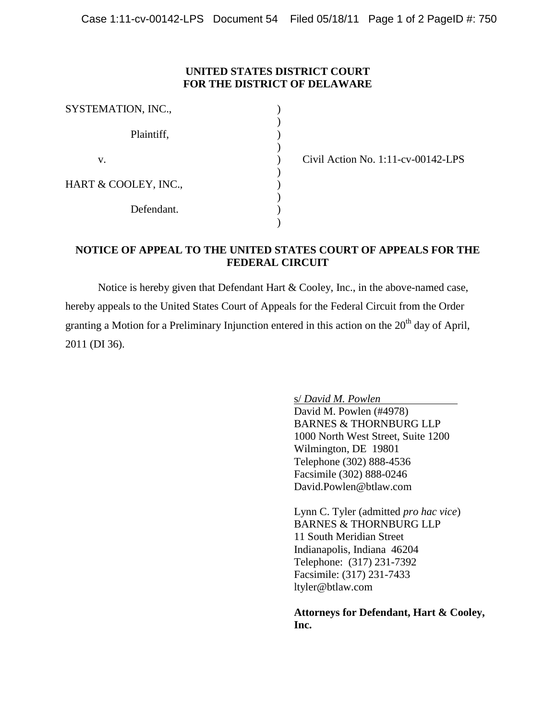## **UNITED STATES DISTRICT COURT FOR THE DISTRICT OF DELAWARE**

| SYSTEMATION, INC.,   |  |
|----------------------|--|
| Plaintiff,           |  |
| V.                   |  |
| HART & COOLEY, INC., |  |
| Defendant.           |  |
|                      |  |

Civil Action No. 1:11-cv-00142-LPS

## **NOTICE OF APPEAL TO THE UNITED STATES COURT OF APPEALS FOR THE FEDERAL CIRCUIT**

Notice is hereby given that Defendant Hart & Cooley, Inc., in the above-named case, hereby appeals to the United States Court of Appeals for the Federal Circuit from the Order granting a Motion for a Preliminary Injunction entered in this action on the  $20<sup>th</sup>$  day of April, 2011 (DI 36).

s/ *David M. Powlen*

David M. Powlen (#4978) BARNES & THORNBURG LLP 1000 North West Street, Suite 1200 Wilmington, DE 19801 Telephone (302) 888-4536 Facsimile (302) 888-0246 David.Powlen@btlaw.com

Lynn C. Tyler (admitted *pro hac vice*) BARNES & THORNBURG LLP 11 South Meridian Street Indianapolis, Indiana 46204 Telephone: (317) 231-7392 Facsimile: (317) 231-7433 ltyler@btlaw.com

**Attorneys for Defendant, Hart & Cooley, Inc.**